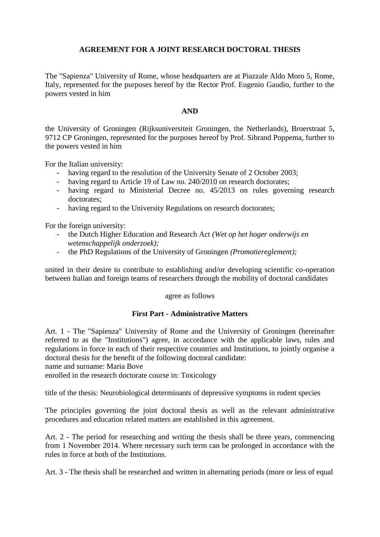# **AGREEMENT FOR A JOINT RESEARCH DOCTORAL THESIS**

The "Sapienza" University of Rome, whose headquarters are at Piazzale Aldo Moro 5, Rome, Italy, represented for the purposes hereof by the Rector Prof. Eugenio Gaudio, further to the powers vested in him

### **AND**

the University of Groningen (Rijksuniversiteit Groningen, the Netherlands), Broerstraat 5, 9712 CP Groningen, represented for the purposes hereof by Prof. Sibrand Poppema, further to the powers vested in him

For the Italian university:

- having regard to the resolution of the University Senate of 2 October 2003;
- having regard to Article 19 of Law no. 240/2010 on research doctorates;
- having regard to Ministerial Decree no. 45/2013 on rules governing research doctorates;
- having regard to the University Regulations on research doctorates;

For the foreign university:

- the Dutch Higher Education and Research Act *(Wet op het hoger onderwijs en wetenschappelijk onderzoek);*
- the PhD Regulations of the University of Groningen *(Promotiereglement);*

united in their desire to contribute to establishing and/or developing scientific co-operation between Italian and foreign teams of researchers through the mobility of doctoral candidates

### agree as follows

### **First Part - Administrative Matters**

Art. 1 - The "Sapienza" University of Rome and the University of Groningen (hereinafter referred to as the "Institutions") agree, in accordance with the applicable laws, rules and regulations in force in each of their respective countries and Institutions, to jointly organise a doctoral thesis for the benefit of the following doctoral candidate:

name and surname: Maria Bove

enrolled in the research doctorate course in: Toxicology

title of the thesis: Neurobiological determinants of depressive symptoms in rodent species

The principles governing the joint doctoral thesis as well as the relevant administrative procedures and education related matters are established in this agreement.

Art. 2 - The period for researching and writing the thesis shall be three years, commencing from 1 November 2014. Where necessary such term can be prolonged in accordance with the rules in force at both of the Institutions.

Art. 3 - The thesis shall be researched and written in alternating periods (more or less of equal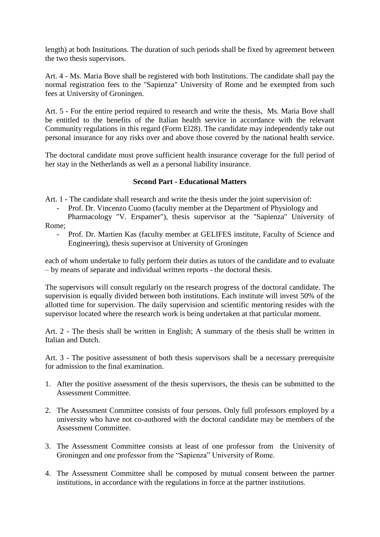length) at both Institutions. The duration of such periods shall be fixed by agreement between the two thesis supervisors.

Art. 4 - Ms. Maria Bove shall be registered with both Institutions. The candidate shall pay the normal registration fees to the "Sapienza" University of Rome and be exempted from such fees at University of Groningen.

Art. 5 - For the entire period required to research and write the thesis, Ms. Maria Bove shall be entitled to the benefits of the Italian health service in accordance with the relevant Community regulations in this regard (Form El28). The candidate may independently take out personal insurance for any risks over and above those covered by the national health service.

The doctoral candidate must prove sufficient health insurance coverage for the full period of her stay in the Netherlands as well as a personal liability insurance.

## **Second Part - Educational Matters**

Art. 1 - The candidate shall research and write the thesis under the joint supervision of:

Prof. Dr. Vincenzo Cuomo (faculty member at the Department of Physiology and Pharmacology "V. Erspamer"), thesis supervisor at the "Sapienza" University of

Rome;

- Prof. Dr. Martien Kas (faculty member at GELIFES institute, Faculty of Science and Engineering), thesis supervisor at University of Groningen

each of whom undertake to fully perform their duties as tutors of the candidate and to evaluate – by means of separate and individual written reports - the doctoral thesis.

The supervisors will consult regularly on the research progress of the doctoral candidate. The supervision is equally divided between both institutions. Each institute will invest 50% of the allotted time for supervision. The daily supervision and scientific mentoring resides with the supervisor located where the research work is being undertaken at that particular moment.

Art. 2 - The thesis shall be written in English; A summary of the thesis shall be written in Italian and Dutch.

Art. 3 - The positive assessment of both thesis supervisors shall be a necessary prerequisite for admission to the final examination.

- 1. After the positive assessment of the thesis supervisors, the thesis can be submitted to the Assessment Committee.
- 2. The Assessment Committee consists of four persons. Only full professors employed by a university who have not co-authored with the doctoral candidate may be members of the Assessment Committee.
- 3. The Assessment Committee consists at least of one professor from the University of Groningen and one professor from the "Sapienza" University of Rome.
- 4. The Assessment Committee shall be composed by mutual consent between the partner institutions, in accordance with the regulations in force at the partner institutions.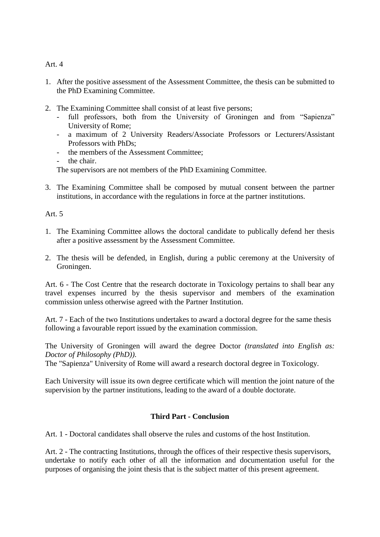Art. 4

- 1. After the positive assessment of the Assessment Committee, the thesis can be submitted to the PhD Examining Committee.
- 2. The Examining Committee shall consist of at least five persons;
	- full professors, both from the University of Groningen and from "Sapienza" University of Rome;
	- a maximum of 2 University Readers/Associate Professors or Lecturers/Assistant Professors with PhDs;
	- the members of the Assessment Committee;
	- the chair.

The supervisors are not members of the PhD Examining Committee.

3. The Examining Committee shall be composed by mutual consent between the partner institutions, in accordance with the regulations in force at the partner institutions.

Art  $5$ 

- 1. The Examining Committee allows the doctoral candidate to publically defend her thesis after a positive assessment by the Assessment Committee.
- 2. The thesis will be defended, in English, during a public ceremony at the University of Groningen.

Art. 6 - The Cost Centre that the research doctorate in Toxicology pertains to shall bear any travel expenses incurred by the thesis supervisor and members of the examination commission unless otherwise agreed with the Partner Institution.

Art. 7 - Each of the two Institutions undertakes to award a doctoral degree for the same thesis following a favourable report issued by the examination commission.

The University of Groningen will award the degree Doctor *(translated into English as: Doctor of Philosophy (PhD))*.

The "Sapienza" University of Rome will award a research doctoral degree in Toxicology.

Each University will issue its own degree certificate which will mention the joint nature of the supervision by the partner institutions, leading to the award of a double doctorate.

# **Third Part - Conclusion**

Art. 1 - Doctoral candidates shall observe the rules and customs of the host Institution.

Art. 2 - The contracting Institutions, through the offices of their respective thesis supervisors, undertake to notify each other of all the information and documentation useful for the purposes of organising the joint thesis that is the subject matter of this present agreement.